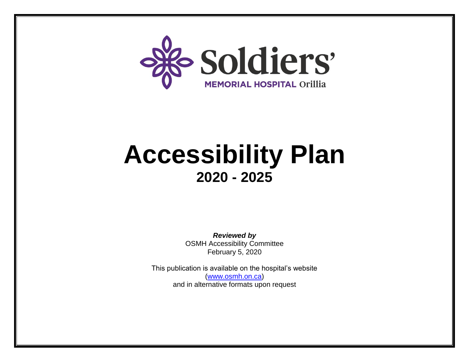

# **Accessibility Plan 2020 - 2025**

*Reviewed by* OSMH Accessibility Committee February 5, 2020

This publication is available on the hospital's website [\(www.osmh.on.ca\)](http://www.osmh.on.ca/) and in alternative formats upon request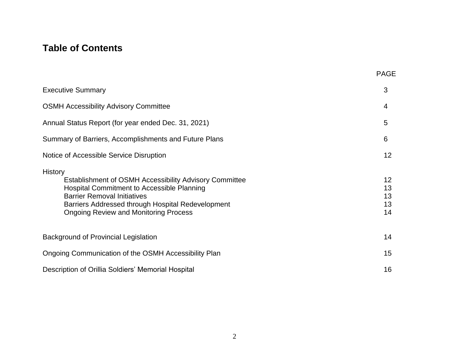# **Table of Contents**

|                                                                                                                                                                                                                                                                   | <b>PAGE</b>                                          |
|-------------------------------------------------------------------------------------------------------------------------------------------------------------------------------------------------------------------------------------------------------------------|------------------------------------------------------|
| <b>Executive Summary</b>                                                                                                                                                                                                                                          | 3                                                    |
| <b>OSMH Accessibility Advisory Committee</b>                                                                                                                                                                                                                      | 4                                                    |
| Annual Status Report (for year ended Dec. 31, 2021)                                                                                                                                                                                                               | 5                                                    |
| Summary of Barriers, Accomplishments and Future Plans                                                                                                                                                                                                             | 6                                                    |
| Notice of Accessible Service Disruption                                                                                                                                                                                                                           | 12 <sub>2</sub>                                      |
| History<br>Establishment of OSMH Accessibility Advisory Committee<br><b>Hospital Commitment to Accessible Planning</b><br><b>Barrier Removal Initiatives</b><br>Barriers Addressed through Hospital Redevelopment<br><b>Ongoing Review and Monitoring Process</b> | 12 <sub>2</sub><br>13<br>13<br>13 <sup>°</sup><br>14 |
| Background of Provincial Legislation                                                                                                                                                                                                                              | 14                                                   |
| Ongoing Communication of the OSMH Accessibility Plan                                                                                                                                                                                                              | 15                                                   |
| Description of Orillia Soldiers' Memorial Hospital                                                                                                                                                                                                                | 16                                                   |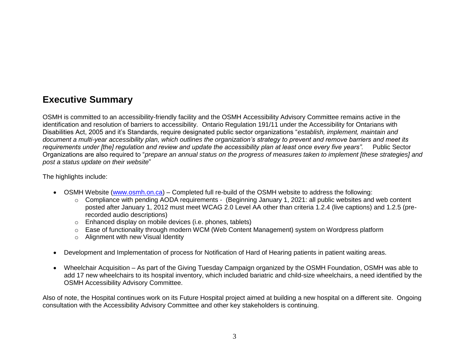# **Executive Summary**

OSMH is committed to an accessibility-friendly facility and the OSMH Accessibility Advisory Committee remains active in the identification and resolution of barriers to accessibility. Ontario Regulation 191/11 under the Accessibility for Ontarians with Disabilities Act, 2005 and it's Standards, require designated public sector organizations "*establish, implement, maintain and document a multi-year accessibility plan, which outlines the organization's strategy to prevent and remove barriers and meet its requirements under [the] regulation and review and update the accessibility plan at least once every five years".* Public Sector Organizations are also required to "*prepare an annual status on the progress of measures taken to implement [these strategies] and post a status update on their website*"

The highlights include:

- OSMH Website [\(www.osmh.on.ca\)](http://www.osmh.on.ca/) Completed full re-build of the OSMH website to address the following:
	- $\circ$  Compliance with pending AODA requirements (Beginning January 1, 2021: all public websites and web content posted after January 1, 2012 must meet WCAG 2.0 Level AA other than criteria 1.2.4 (live captions) and 1.2.5 (prerecorded audio descriptions)
	- o Enhanced display on mobile devices (i.e. phones, tablets)
	- o Ease of functionality through modern WCM (Web Content Management) system on Wordpress platform
	- o Alignment with new Visual Identity
- Development and Implementation of process for Notification of Hard of Hearing patients in patient waiting areas.
- Wheelchair Acquisition As part of the Giving Tuesday Campaign organized by the OSMH Foundation, OSMH was able to add 17 new wheelchairs to its hospital inventory, which included bariatric and child-size wheelchairs, a need identified by the OSMH Accessibility Advisory Committee.

Also of note, the Hospital continues work on its Future Hospital project aimed at building a new hospital on a different site. Ongoing consultation with the Accessibility Advisory Committee and other key stakeholders is continuing.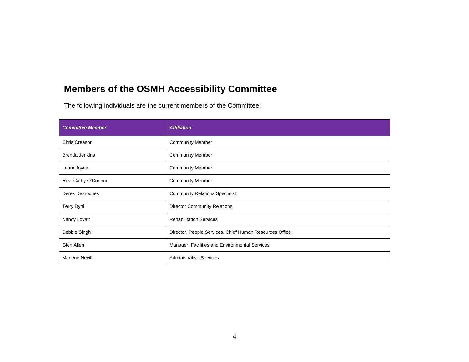# **Members of the OSMH Accessibility Committee**

The following individuals are the current members of the Committee:

| <b>Committee Member</b> | <b>Affiliation</b>                                      |
|-------------------------|---------------------------------------------------------|
| Chris Creasor           | <b>Community Member</b>                                 |
| <b>Brenda Jenkins</b>   | <b>Community Member</b>                                 |
| Laura Joyce             | <b>Community Member</b>                                 |
| Rev. Cathy O'Connor     | <b>Community Member</b>                                 |
| <b>Derek Desroches</b>  | <b>Community Relations Specialist</b>                   |
| Terry Dyni              | <b>Director Community Relations</b>                     |
| Nancy Lovatt            | <b>Rehabilitation Services</b>                          |
| Debbie Singh            | Director, People Services, Chief Human Resources Office |
| Glen Allen              | Manager, Facilities and Environmental Services          |
| <b>Marlene Nevill</b>   | <b>Administrative Services</b>                          |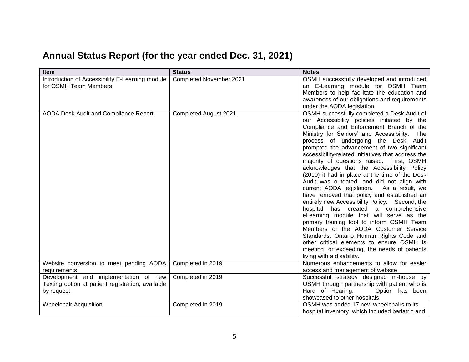# **Annual Status Report (for the year ended Dec. 31, 2021)**

| <b>Item</b>                                                                                                              | <b>Status</b>           | <b>Notes</b>                                                                                                                                                                                                                                                                                                                                                                                                                                                                                                                                                                                                                                                                                                                                                                                                                                                                                                                                                                                                                  |
|--------------------------------------------------------------------------------------------------------------------------|-------------------------|-------------------------------------------------------------------------------------------------------------------------------------------------------------------------------------------------------------------------------------------------------------------------------------------------------------------------------------------------------------------------------------------------------------------------------------------------------------------------------------------------------------------------------------------------------------------------------------------------------------------------------------------------------------------------------------------------------------------------------------------------------------------------------------------------------------------------------------------------------------------------------------------------------------------------------------------------------------------------------------------------------------------------------|
| Introduction of Accessibility E-Learning module<br>for OSMH Team Members                                                 | Completed November 2021 | OSMH successfully developed and introduced<br>an E-Learning module for OSMH Team<br>Members to help facilitate the education and<br>awareness of our obligations and requirements<br>under the AODA legislation.                                                                                                                                                                                                                                                                                                                                                                                                                                                                                                                                                                                                                                                                                                                                                                                                              |
| AODA Desk Audit and Compliance Report                                                                                    | Completed August 2021   | OSMH successfully completed a Desk Audit of<br>our Accessibility policies initiated by the<br>Compliance and Enforcement Branch of the<br>Ministry for Seniors' and Accessibility. The<br>process of undergoing the Desk Audit<br>prompted the advancement of two significant<br>accessibility-related initiatives that address the<br>majority of questions raised. First, OSMH<br>acknowledges that the Accessibility Policy<br>(2010) it had in place at the time of the Desk<br>Audit was outdated, and did not align with<br>current AODA legislation.<br>As a result, we<br>have removed that policy and established an<br>entirely new Accessibility Policy. Second, the<br>hospital has created a comprehensive<br>eLearning module that will serve as the<br>primary training tool to inform OSMH Team<br>Members of the AODA Customer Service<br>Standards, Ontario Human Rights Code and<br>other critical elements to ensure OSMH is<br>meeting, or exceeding, the needs of patients<br>living with a disability. |
| Website conversion to meet pending AODA                                                                                  | Completed in 2019       | Numerous enhancements to allow for easier<br>access and management of website                                                                                                                                                                                                                                                                                                                                                                                                                                                                                                                                                                                                                                                                                                                                                                                                                                                                                                                                                 |
| requirements<br>Development and implementation of new<br>Texting option at patient registration, available<br>by request | Completed in 2019       | Successful strategy designed in-house by<br>OSMH through partnership with patient who is<br>Hard of Hearing.<br>Option has been<br>showcased to other hospitals.                                                                                                                                                                                                                                                                                                                                                                                                                                                                                                                                                                                                                                                                                                                                                                                                                                                              |
| <b>Wheelchair Acquisition</b>                                                                                            | Completed in 2019       | OSMH was added 17 new wheelchairs to its<br>hospital inventory, which included bariatric and                                                                                                                                                                                                                                                                                                                                                                                                                                                                                                                                                                                                                                                                                                                                                                                                                                                                                                                                  |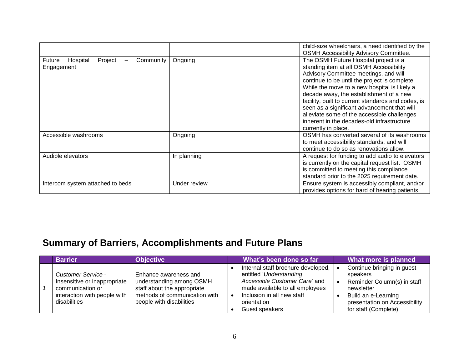|                                                          |              | child-size wheelchairs, a need identified by the<br><b>OSMH Accessibility Advisory Committee.</b>                                                                                                                                                                                                                                                                                                                                                                                              |
|----------------------------------------------------------|--------------|------------------------------------------------------------------------------------------------------------------------------------------------------------------------------------------------------------------------------------------------------------------------------------------------------------------------------------------------------------------------------------------------------------------------------------------------------------------------------------------------|
| Future<br>Project<br>Hospital<br>Community<br>Engagement | Ongoing      | The OSMH Future Hospital project is a<br>standing item at all OSMH Accessibility<br>Advisory Committee meetings, and will<br>continue to be until the project is complete.<br>While the move to a new hospital is likely a<br>decade away, the establishment of a new<br>facility, built to current standards and codes, is<br>seen as a significant advancement that will<br>alleviate some of the accessible challenges<br>inherent in the decades-old infrastructure<br>currently in place. |
| Accessible washrooms                                     | Ongoing      | OSMH has converted several of its washrooms<br>to meet accessibility standards, and will<br>continue to do so as renovations allow.                                                                                                                                                                                                                                                                                                                                                            |
| Audible elevators                                        | In planning  | A request for funding to add audio to elevators<br>is currently on the capital request list. OSMH<br>is committed to meeting this compliance<br>standard prior to the 2025 requirement date.                                                                                                                                                                                                                                                                                                   |
| Intercom system attached to beds                         | Under review | Ensure system is accessibly compliant, and/or<br>provides options for hard of hearing patients                                                                                                                                                                                                                                                                                                                                                                                                 |

# **Summary of Barriers, Accomplishments and Future Plans**

| <b>Barrier</b>                                                                                                                | <b>Objective</b>                                                                                                                              | What's been done so far                                                                                                                                                                          | What more is planned                                                                                                                                                |
|-------------------------------------------------------------------------------------------------------------------------------|-----------------------------------------------------------------------------------------------------------------------------------------------|--------------------------------------------------------------------------------------------------------------------------------------------------------------------------------------------------|---------------------------------------------------------------------------------------------------------------------------------------------------------------------|
| <b>Customer Service -</b><br>Insensitive or inappropriate<br>communication or<br>interaction with people with<br>disabilities | Enhance awareness and<br>understanding among OSMH<br>staff about the appropriate<br>methods of communication with<br>people with disabilities | Internal staff brochure developed,<br>entitled 'Understanding<br>Accessible Customer Care' and<br>made available to all employees<br>Inclusion in all new staff<br>orientation<br>Guest speakers | Continue bringing in guest<br>speakers<br>Reminder Column(s) in staff<br>newsletter<br>Build an e-Learning<br>presentation on Accessibility<br>for staff (Complete) |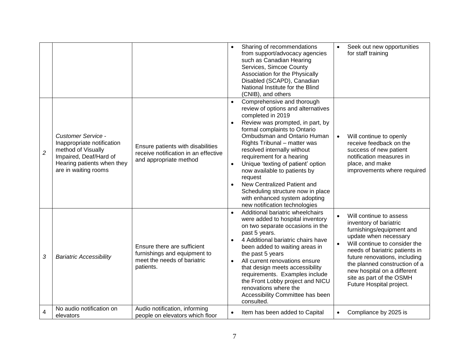|                |                                                                                                                                                               |                                                                                                         | Sharing of recommendations<br>from support/advocacy agencies<br>such as Canadian Hearing<br>Services, Simcoe County<br>Association for the Physically<br>Disabled (SCAPD), Canadian<br>National Institute for the Blind<br>(CNIB), and others                                                                                                                                                                                                                                                                            |                        | Seek out new opportunities<br>for staff training                                                                                                                                                                                                                                                                                    |
|----------------|---------------------------------------------------------------------------------------------------------------------------------------------------------------|---------------------------------------------------------------------------------------------------------|--------------------------------------------------------------------------------------------------------------------------------------------------------------------------------------------------------------------------------------------------------------------------------------------------------------------------------------------------------------------------------------------------------------------------------------------------------------------------------------------------------------------------|------------------------|-------------------------------------------------------------------------------------------------------------------------------------------------------------------------------------------------------------------------------------------------------------------------------------------------------------------------------------|
| $\overline{c}$ | <b>Customer Service -</b><br>Inappropriate notification<br>method of Visually<br>Impaired, Deaf/Hard of<br>Hearing patients when they<br>are in waiting rooms | Ensure patients with disabilities<br>receive notification in an effective<br>and appropriate method     | Comprehensive and thorough<br>$\bullet$<br>review of options and alternatives<br>completed in 2019<br>Review was prompted, in part, by<br>formal complaints to Ontario<br>Ombudsman and Ontario Human<br>Rights Tribunal - matter was<br>resolved internally without<br>requirement for a hearing<br>Unique 'texting of patient' option<br>now available to patients by<br>request<br>New Centralized Patient and<br>Scheduling structure now in place<br>with enhanced system adopting<br>new notification technologies |                        | Will continue to openly<br>receive feedback on the<br>success of new patient<br>notification measures in<br>place, and make<br>improvements where required                                                                                                                                                                          |
| 3              | <b>Bariatric Accessibility</b>                                                                                                                                | Ensure there are sufficient<br>furnishings and equipment to<br>meet the needs of bariatric<br>patients. | Additional bariatric wheelchairs<br>$\bullet$<br>were added to hospital inventory<br>on two separate occasions in the<br>past 5 years.<br>4 Additional bariatric chairs have<br>$\bullet$<br>been added to waiting areas in<br>the past 5 years<br>All current renovations ensure<br>$\bullet$<br>that design meets accessibility<br>requirements. Examples include<br>the Front Lobby project and NICU<br>renovations where the<br>Accessibility Committee has been<br>consulted.                                       | $\bullet$<br>$\bullet$ | Will continue to assess<br>inventory of bariatric<br>furnishings/equipment and<br>update when necessary<br>Will continue to consider the<br>needs of bariatric patients in<br>future renovations, including<br>the planned construction of a<br>new hospital on a different<br>site as part of the OSMH<br>Future Hospital project. |
| 4              | No audio notification on<br>elevators                                                                                                                         | Audio notification, informing<br>people on elevators which floor                                        | Item has been added to Capital                                                                                                                                                                                                                                                                                                                                                                                                                                                                                           |                        | Compliance by 2025 is                                                                                                                                                                                                                                                                                                               |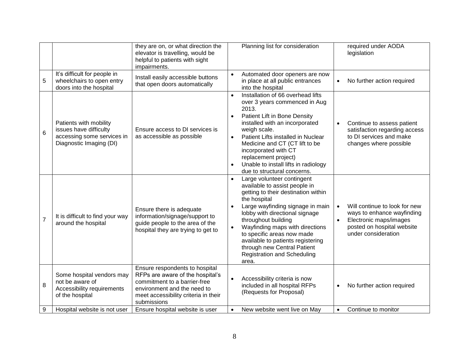|                 |                                                                                                           | they are on, or what direction the<br>elevator is travelling, would be<br>helpful to patients with sight<br>impairments.                                                                 |                                    | Planning list for consideration                                                                                                                                                                                                                                                                                                                                            |           | required under AODA<br>legislation                                                                                                         |
|-----------------|-----------------------------------------------------------------------------------------------------------|------------------------------------------------------------------------------------------------------------------------------------------------------------------------------------------|------------------------------------|----------------------------------------------------------------------------------------------------------------------------------------------------------------------------------------------------------------------------------------------------------------------------------------------------------------------------------------------------------------------------|-----------|--------------------------------------------------------------------------------------------------------------------------------------------|
| 5               | It's difficult for people in<br>wheelchairs to open entry<br>doors into the hospital                      | Install easily accessible buttons<br>that open doors automatically                                                                                                                       |                                    | Automated door openers are now<br>in place at all public entrances<br>into the hospital                                                                                                                                                                                                                                                                                    | $\bullet$ | No further action required                                                                                                                 |
| $6\phantom{1}6$ | Patients with mobility<br>issues have difficulty<br>accessing some services in<br>Diagnostic Imaging (DI) | Ensure access to DI services is<br>as accessible as possible                                                                                                                             | $\bullet$<br>2013.<br>$\bullet$    | Installation of 66 overhead lifts<br>over 3 years commenced in Aug<br>Patient Lift in Bone Density<br>installed with an incorporated<br>weigh scale.<br>Patient Lifts installed in Nuclear<br>Medicine and CT (CT lift to be<br>incorporated with CT<br>replacement project)<br>Unable to install lifts in radiology<br>due to structural concerns.                        | $\bullet$ | Continue to assess patient<br>satisfaction regarding access<br>to DI services and make<br>changes where possible                           |
| $\overline{7}$  | It is difficult to find your way<br>around the hospital                                                   | Ensure there is adequate<br>information/signage/support to<br>guide people to the area of the<br>hospital they are trying to get to                                                      | $\bullet$<br>the hospital<br>area. | Large volunteer contingent<br>available to assist people in<br>getting to their destination within<br>Large wayfinding signage in main<br>lobby with directional signage<br>throughout building<br>Wayfinding maps with directions<br>to specific areas now made<br>available to patients registering<br>through new Central Patient<br><b>Registration and Scheduling</b> | $\bullet$ | Will continue to look for new<br>ways to enhance wayfinding<br>Electronic maps/images<br>posted on hospital website<br>under consideration |
| 8               | Some hospital vendors may<br>not be aware of<br>Accessibility requirements<br>of the hospital             | Ensure respondents to hospital<br>RFPs are aware of the hospital's<br>commitment to a barrier-free<br>environment and the need to<br>meet accessibility criteria in their<br>submissions |                                    | Accessibility criteria is now<br>included in all hospital RFPs<br>(Requests for Proposal)                                                                                                                                                                                                                                                                                  | $\bullet$ | No further action required                                                                                                                 |
| 9               | Hospital website is not user                                                                              | Ensure hospital website is user                                                                                                                                                          | $\bullet$                          | New website went live on May                                                                                                                                                                                                                                                                                                                                               | $\bullet$ | Continue to monitor                                                                                                                        |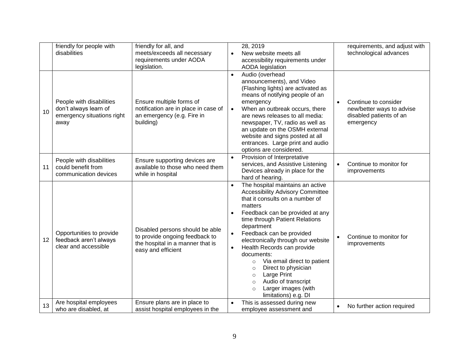|                 | friendly for people with<br>disabilities                                                | friendly for all, and<br>meets/exceeds all necessary<br>requirements under AODA<br>legislation.                             | 28, 2019<br>requirements, and adjust with<br>technological advances<br>New website meets all<br>$\bullet$<br>accessibility requirements under<br><b>AODA</b> legislation                                                                                                                                                                                                                                                                                                                                                                                                                          |
|-----------------|-----------------------------------------------------------------------------------------|-----------------------------------------------------------------------------------------------------------------------------|---------------------------------------------------------------------------------------------------------------------------------------------------------------------------------------------------------------------------------------------------------------------------------------------------------------------------------------------------------------------------------------------------------------------------------------------------------------------------------------------------------------------------------------------------------------------------------------------------|
| 10              | People with disabilities<br>don't always learn of<br>emergency situations right<br>away | Ensure multiple forms of<br>notification are in place in case of<br>an emergency (e.g. Fire in<br>building)                 | Audio (overhead<br>$\bullet$<br>announcements), and Video<br>(Flashing lights) are activated as<br>means of notifying people of an<br>emergency<br>Continue to consider<br>$\bullet$<br>When an outbreak occurs, there<br>new/better ways to advise<br>$\bullet$<br>disabled patients of an<br>are news releases to all media:<br>newspaper, TV, radio as well as<br>emergency<br>an update on the OSMH external<br>website and signs posted at all<br>entrances. Large print and audio<br>options are considered.                                                                                |
| 11              | People with disabilities<br>could benefit from<br>communication devices                 | Ensure supporting devices are<br>available to those who need them<br>while in hospital                                      | Provision of Interpretative<br>$\bullet$<br>services, and Assistive Listening<br>Continue to monitor for<br>$\bullet$<br>Devices already in place for the<br>improvements<br>hard of hearing.                                                                                                                                                                                                                                                                                                                                                                                                     |
| 12 <sup>2</sup> | Opportunities to provide<br>feedback aren't always<br>clear and accessible              | Disabled persons should be able<br>to provide ongoing feedback to<br>the hospital in a manner that is<br>easy and efficient | The hospital maintains an active<br>$\bullet$<br><b>Accessibility Advisory Committee</b><br>that it consults on a number of<br>matters<br>Feedback can be provided at any<br>time through Patient Relations<br>department<br>Feedback can be provided<br>Continue to monitor for<br>$\bullet$<br>electronically through our website<br>improvements<br>Health Records can provide<br>documents:<br>Via email direct to patient<br>$\circ$<br>Direct to physician<br>$\circ$<br>Large Print<br>$\circ$<br>Audio of transcript<br>$\circ$<br>Larger images (with<br>$\circ$<br>limitations) e.g. DI |
| 13              | Are hospital employees<br>who are disabled, at                                          | Ensure plans are in place to<br>assist hospital employees in the                                                            | This is assessed during new<br>$\bullet$<br>No further action required<br>$\bullet$<br>employee assessment and                                                                                                                                                                                                                                                                                                                                                                                                                                                                                    |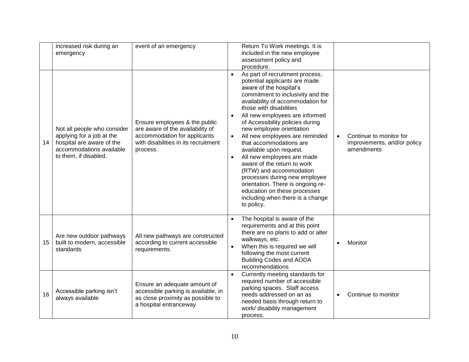|    | increased risk during an<br>emergency                                                                                                      | event of an emergency                                                                                                                                 | Return To Work meetings. It is<br>included in the new employee<br>assessment policy and<br>procedure.                                                                                                                                                                                                                                                                                                                                                                                                                                                                                                                                                   |           |                                                                      |
|----|--------------------------------------------------------------------------------------------------------------------------------------------|-------------------------------------------------------------------------------------------------------------------------------------------------------|---------------------------------------------------------------------------------------------------------------------------------------------------------------------------------------------------------------------------------------------------------------------------------------------------------------------------------------------------------------------------------------------------------------------------------------------------------------------------------------------------------------------------------------------------------------------------------------------------------------------------------------------------------|-----------|----------------------------------------------------------------------|
| 14 | Not all people who consider<br>applying for a job at the<br>hospital are aware of the<br>accommodations available<br>to them, if disabled. | Ensure employees & the public<br>are aware of the availability of<br>accommodation for applicants<br>with disabilities in its recruitment<br>process. | As part of recruitment process,<br>potential applicants are made<br>aware of the hospital's<br>commitment to inclusivity and the<br>availability of accommodation for<br>those with disabilities<br>All new employees are informed<br>of Accessibility policies during<br>new employee orientation<br>All new employees are reminded<br>$\bullet$<br>that accommodations are<br>available upon request.<br>All new employees are made<br>aware of the return to work<br>(RTW) and accommodation<br>processes during new employee<br>orientation. There is ongoing re-<br>education on these processes<br>including when there is a change<br>to policy. | $\bullet$ | Continue to monitor for<br>improvements, and/or policy<br>amendments |
| 15 | Are new outdoor pathways<br>built to modern, accessible<br>standards                                                                       | All new pathways are constructed<br>according to current accessible<br>requirements.                                                                  | The hospital is aware of the<br>$\bullet$<br>requirements and at this point<br>there are no plans to add or alter<br>walkways, etc.<br>When this is required we will<br>$\bullet$<br>following the most current<br><b>Building Codes and AODA</b><br>recommendations                                                                                                                                                                                                                                                                                                                                                                                    | $\bullet$ | Monitor                                                              |
| 16 | Accessible parking isn't<br>always available                                                                                               | Ensure an adequate amount of<br>accessible parking is available, in<br>as close proximity as possible to<br>a hospital entranceway                    | Currently meeting standards for<br>$\bullet$<br>required number of accessible<br>parking spaces. Staff access<br>needs addressed on an as<br>needed basis through return to<br>work/ disability management<br>process.                                                                                                                                                                                                                                                                                                                                                                                                                                  | $\bullet$ | Continue to monitor                                                  |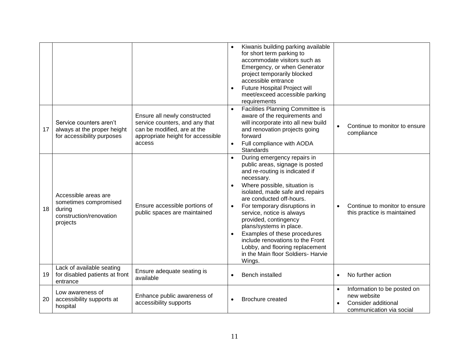|    |                                                                                                |                                                                                                                                              |                        | Kiwanis building parking available<br>for short term parking to<br>accommodate visitors such as<br>Emergency, or when Generator<br>project temporarily blocked<br>accessible entrance<br><b>Future Hospital Project will</b><br>meet/exceed accessible parking<br>requirements                                                                                                                                                                                                        |           |                                                                                               |
|----|------------------------------------------------------------------------------------------------|----------------------------------------------------------------------------------------------------------------------------------------------|------------------------|---------------------------------------------------------------------------------------------------------------------------------------------------------------------------------------------------------------------------------------------------------------------------------------------------------------------------------------------------------------------------------------------------------------------------------------------------------------------------------------|-----------|-----------------------------------------------------------------------------------------------|
| 17 | Service counters aren't<br>always at the proper height<br>for accessibility purposes           | Ensure all newly constructed<br>service counters, and any that<br>can be modified, are at the<br>appropriate height for accessible<br>access | $\bullet$<br>$\bullet$ | Facilities Planning Committee is<br>aware of the requirements and<br>will incorporate into all new build<br>and renovation projects going<br>forward<br>Full compliance with AODA<br><b>Standards</b>                                                                                                                                                                                                                                                                                 | $\bullet$ | Continue to monitor to ensure<br>compliance                                                   |
| 18 | Accessible areas are<br>sometimes compromised<br>during<br>construction/renovation<br>projects | Ensure accessible portions of<br>public spaces are maintained                                                                                | $\bullet$              | During emergency repairs in<br>public areas, signage is posted<br>and re-routing is indicated if<br>necessary.<br>Where possible, situation is<br>isolated, made safe and repairs<br>are conducted off-hours.<br>For temporary disruptions in<br>service, notice is always<br>provided, contingency<br>plans/systems in place.<br>Examples of these procedures<br>include renovations to the Front<br>Lobby, and flooring replacement<br>in the Main floor Soldiers- Harvie<br>Wings. |           | Continue to monitor to ensure<br>this practice is maintained                                  |
| 19 | Lack of available seating<br>for disabled patients at front<br>entrance                        | Ensure adequate seating is<br>available                                                                                                      |                        | Bench installed                                                                                                                                                                                                                                                                                                                                                                                                                                                                       | $\bullet$ | No further action                                                                             |
| 20 | Low awareness of<br>accessibility supports at<br>hospital                                      | Enhance public awareness of<br>accessibility supports                                                                                        |                        | Brochure created                                                                                                                                                                                                                                                                                                                                                                                                                                                                      | $\bullet$ | Information to be posted on<br>new website<br>Consider additional<br>communication via social |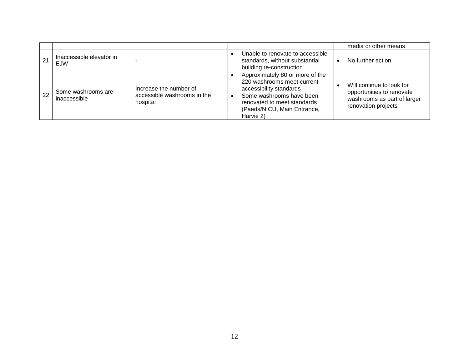|    |                                    |                                                                   |                                                                                                                                                                                                 | media or other means                                                                                         |
|----|------------------------------------|-------------------------------------------------------------------|-------------------------------------------------------------------------------------------------------------------------------------------------------------------------------------------------|--------------------------------------------------------------------------------------------------------------|
| 21 | Inaccessible elevator in<br>EJW    |                                                                   | Unable to renovate to accessible<br>standards, without substantial<br>building re-construction                                                                                                  | No further action                                                                                            |
| 22 | Some washrooms are<br>inaccessible | Increase the number of<br>accessible washrooms in the<br>hospital | Approximately 80 or more of the<br>220 washrooms meet current<br>accessibility standards<br>Some washrooms have been<br>renovated to meet standards<br>(Paeds/NICU, Main Entrance,<br>Harvie 2) | Will continue to look for<br>opportunities to renovate<br>washrooms as part of larger<br>renovation projects |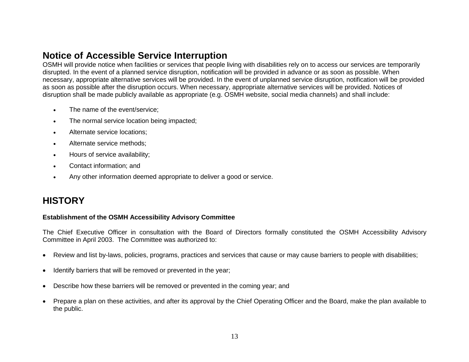# **Notice of Accessible Service Interruption**

OSMH will provide notice when facilities or services that people living with disabilities rely on to access our services are temporarily disrupted. In the event of a planned service disruption, notification will be provided in advance or as soon as possible. When necessary, appropriate alternative services will be provided. In the event of unplanned service disruption, notification will be provided as soon as possible after the disruption occurs. When necessary, appropriate alternative services will be provided. Notices of disruption shall be made publicly available as appropriate (e.g. OSMH website, social media channels) and shall include:

- The name of the event/service:
- The normal service location being impacted;
- Alternate service locations;
- Alternate service methods;
- Hours of service availability;
- Contact information; and
- Any other information deemed appropriate to deliver a good or service.

# **HISTORY**

#### **Establishment of the OSMH Accessibility Advisory Committee**

The Chief Executive Officer in consultation with the Board of Directors formally constituted the OSMH Accessibility Advisory Committee in April 2003. The Committee was authorized to:

- Review and list by-laws, policies, programs, practices and services that cause or may cause barriers to people with disabilities;
- Identify barriers that will be removed or prevented in the year;
- Describe how these barriers will be removed or prevented in the coming year; and
- Prepare a plan on these activities, and after its approval by the Chief Operating Officer and the Board, make the plan available to the public.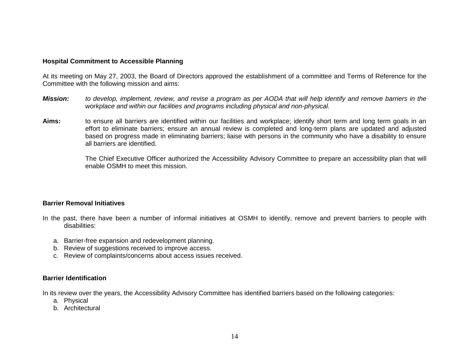#### **Hospital Commitment to Accessible Planning**

At its meeting on May 27, 2003, the Board of Directors approved the establishment of a committee and Terms of Reference for the Committee with the following mission and aims:

- *Mission: to develop, implement, review, and revise a program as per AODA that will help identify and remove barriers in the workplace and within our facilities and programs including physical and non-physical.*
- **Aims:** to ensure all barriers are identified within our facilities and workplace; identify short term and long term goals in an effort to eliminate barriers; ensure an annual review is completed and long-term plans are updated and adjusted based on progress made in eliminating barriers; liaise with persons in the community who have a disability to ensure all barriers are identified.

The Chief Executive Officer authorized the Accessibility Advisory Committee to prepare an accessibility plan that will enable OSMH to meet this mission.

#### **Barrier Removal Initiatives**

- In the past, there have been a number of informal initiatives at OSMH to identify, remove and prevent barriers to people with disabilities:
	- a. Barrier-free expansion and redevelopment planning.
	- b. Review of suggestions received to improve access.
	- c. Review of complaints/concerns about access issues received.

#### **Barrier Identification**

In its review over the years, the Accessibility Advisory Committee has identified barriers based on the following categories:

- a. Physical
- b. Architectural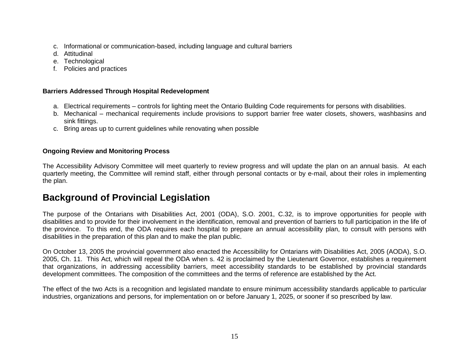- c. Informational or communication-based, including language and cultural barriers
- d. Attitudinal
- e. Technological
- f. Policies and practices

#### **Barriers Addressed Through Hospital Redevelopment**

- a. Electrical requirements controls for lighting meet the Ontario Building Code requirements for persons with disabilities.
- b. Mechanical mechanical requirements include provisions to support barrier free water closets, showers, washbasins and sink fittings.
- c. Bring areas up to current guidelines while renovating when possible

#### **Ongoing Review and Monitoring Process**

The Accessibility Advisory Committee will meet quarterly to review progress and will update the plan on an annual basis. At each quarterly meeting, the Committee will remind staff, either through personal contacts or by e-mail, about their roles in implementing the plan.

# **Background of Provincial Legislation**

The purpose of the Ontarians with Disabilities Act, 2001 (ODA), S.O. 2001, C.32, is to improve opportunities for people with disabilities and to provide for their involvement in the identification, removal and prevention of barriers to full participation in the life of the province. To this end, the ODA requires each hospital to prepare an annual accessibility plan, to consult with persons with disabilities in the preparation of this plan and to make the plan public.

On October 13, 2005 the provincial government also enacted the Accessibility for Ontarians with Disabilities Act, 2005 (AODA), S.O. 2005, Ch. 11. This Act, which will repeal the ODA when s. 42 is proclaimed by the Lieutenant Governor, establishes a requirement that organizations, in addressing accessibility barriers, meet accessibility standards to be established by provincial standards development committees. The composition of the committees and the terms of reference are established by the Act.

The effect of the two Acts is a recognition and legislated mandate to ensure minimum accessibility standards applicable to particular industries, organizations and persons, for implementation on or before January 1, 2025, or sooner if so prescribed by law.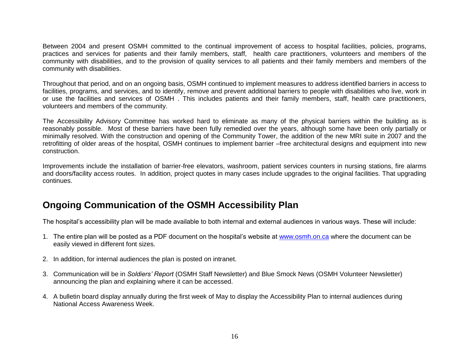Between 2004 and present OSMH committed to the continual improvement of access to hospital facilities, policies, programs, practices and services for patients and their family members, staff, health care practitioners, volunteers and members of the community with disabilities, and to the provision of quality services to all patients and their family members and members of the community with disabilities.

Throughout that period, and on an ongoing basis, OSMH continued to implement measures to address identified barriers in access to facilities, programs, and services, and to identify, remove and prevent additional barriers to people with disabilities who live, work in or use the facilities and services of OSMH . This includes patients and their family members, staff, health care practitioners, volunteers and members of the community.

The Accessibility Advisory Committee has worked hard to eliminate as many of the physical barriers within the building as is reasonably possible. Most of these barriers have been fully remedied over the years, although some have been only partially or minimally resolved. With the construction and opening of the Community Tower, the addition of the new MRI suite in 2007 and the retrofitting of older areas of the hospital, OSMH continues to implement barrier –free architectural designs and equipment into new construction.

Improvements include the installation of barrier-free elevators, washroom, patient services counters in nursing stations, fire alarms and doors/facility access routes. In addition, project quotes in many cases include upgrades to the original facilities. That upgrading continues.

# **Ongoing Communication of the OSMH Accessibility Plan**

The hospital's accessibility plan will be made available to both internal and external audiences in various ways. These will include:

- 1. The entire plan will be posted as a PDF document on the hospital's website at [www.osmh.on.ca](http://www.osmh.on.ca/) where the document can be easily viewed in different font sizes.
- 2. In addition, for internal audiences the plan is posted on intranet.
- 3. Communication will be in *Soldiers' Report* (OSMH Staff Newsletter) and Blue Smock News (OSMH Volunteer Newsletter) announcing the plan and explaining where it can be accessed.
- 4. A bulletin board display annually during the first week of May to display the Accessibility Plan to internal audiences during National Access Awareness Week.